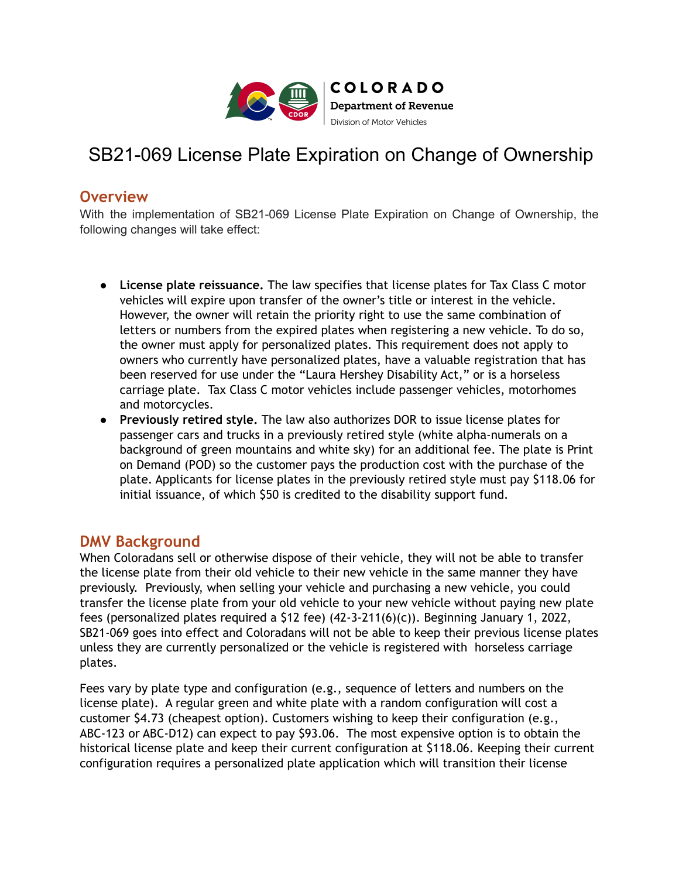

## SB21-069 License Plate Expiration on Change of Ownership

## **Overview**

With the implementation of SB21-069 License Plate Expiration on Change of Ownership, the following changes will take effect:

- **License plate reissuance.** The law specifies that license plates for Tax Class C motor vehicles will expire upon transfer of the owner's title or interest in the vehicle. However, the owner will retain the priority right to use the same combination of letters or numbers from the expired plates when registering a new vehicle. To do so, the owner must apply for personalized plates. This requirement does not apply to owners who currently have personalized plates, have a valuable registration that has been reserved for use under the "Laura Hershey Disability Act," or is a horseless carriage plate. Tax Class C motor vehicles include passenger vehicles, motorhomes and motorcycles.
- **Previously retired style.** The law also authorizes DOR to issue license plates for passenger cars and trucks in a previously retired style (white alpha-numerals on a background of green mountains and white sky) for an additional fee. The plate is Print on Demand (POD) so the customer pays the production cost with the purchase of the plate. Applicants for license plates in the previously retired style must pay \$118.06 for initial issuance, of which \$50 is credited to the disability support fund.

## **DMV Background**

When Coloradans sell or otherwise dispose of their vehicle, they will not be able to transfer the license plate from their old vehicle to their new vehicle in the same manner they have previously. Previously, when selling your vehicle and purchasing a new vehicle, you could transfer the license plate from your old vehicle to your new vehicle without paying new plate fees (personalized plates required a \$12 fee) (42-3-211(6)(c)). Beginning January 1, 2022, SB21-069 goes into effect and Coloradans will not be able to keep their previous license plates unless they are currently personalized or the vehicle is registered with horseless carriage plates.

Fees vary by plate type and configuration (e.g., sequence of letters and numbers on the license plate). A regular green and white plate with a random configuration will cost a customer \$4.73 (cheapest option). Customers wishing to keep their configuration (e.g., ABC-123 or ABC-D12) can expect to pay \$93.06. The most expensive option is to obtain the historical license plate and keep their current configuration at \$118.06. Keeping their current configuration requires a personalized plate application which will transition their license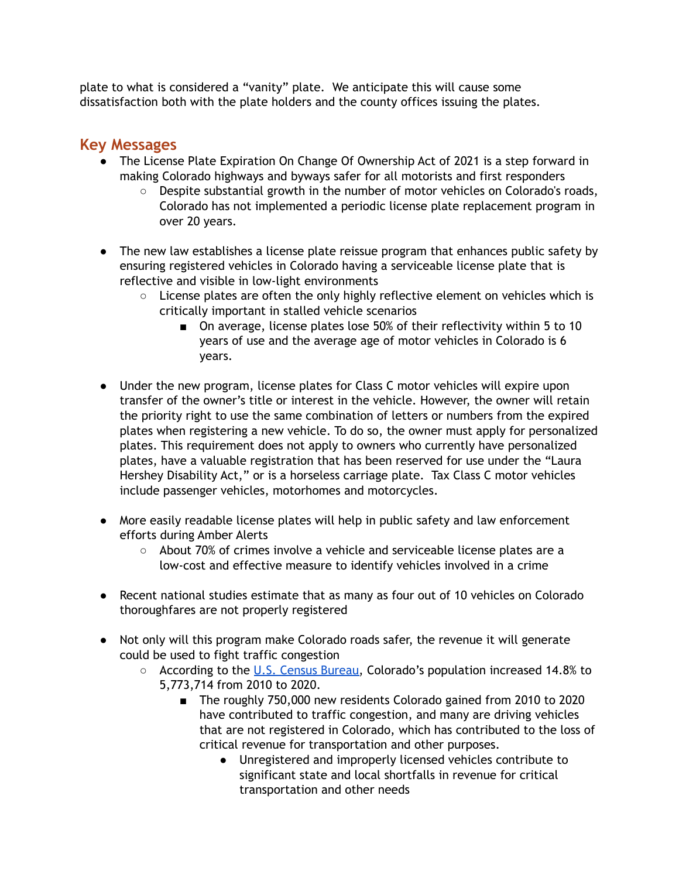plate to what is considered a "vanity" plate. We anticipate this will cause some dissatisfaction both with the plate holders and the county offices issuing the plates.

## **Key Messages**

- The License Plate Expiration On Change Of Ownership Act of 2021 is a step forward in making Colorado highways and byways safer for all motorists and first responders
	- Despite substantial growth in the number of motor vehicles on Colorado's roads, Colorado has not implemented a periodic license plate replacement program in over 20 years.
- The new law establishes a license plate reissue program that enhances public safety by ensuring registered vehicles in Colorado having a serviceable license plate that is reflective and visible in low-light environments
	- $\circ$  License plates are often the only highly reflective element on vehicles which is critically important in stalled vehicle scenarios
		- On average, license plates lose 50% of their reflectivity within 5 to 10 years of use and the average age of motor vehicles in Colorado is 6 years.
- Under the new program, license plates for Class C motor vehicles will expire upon transfer of the owner's title or interest in the vehicle. However, the owner will retain the priority right to use the same combination of letters or numbers from the expired plates when registering a new vehicle. To do so, the owner must apply for personalized plates. This requirement does not apply to owners who currently have personalized plates, have a valuable registration that has been reserved for use under the "Laura Hershey Disability Act," or is a horseless carriage plate. Tax Class C motor vehicles include passenger vehicles, motorhomes and motorcycles.
- More easily readable license plates will help in public safety and law enforcement efforts during Amber Alerts
	- About 70% of crimes involve a vehicle and serviceable license plates are a low-cost and effective measure to identify vehicles involved in a crime
- Recent national studies estimate that as many as four out of 10 vehicles on Colorado thoroughfares are not properly registered
- Not only will this program make Colorado roads safer, the revenue it will generate could be used to fight traffic congestion
	- According to the U.S. Census [Bureau,](https://www.census.gov/library/stories/state-by-state/colorado-population-change-between-census-decade.html) Colorado's population increased 14.8% to 5,773,714 from 2010 to 2020.
		- The roughly 750,000 new residents Colorado gained from 2010 to 2020 have contributed to traffic congestion, and many are driving vehicles that are not registered in Colorado, which has contributed to the loss of critical revenue for transportation and other purposes.
			- Unregistered and improperly licensed vehicles contribute to significant state and local shortfalls in revenue for critical transportation and other needs